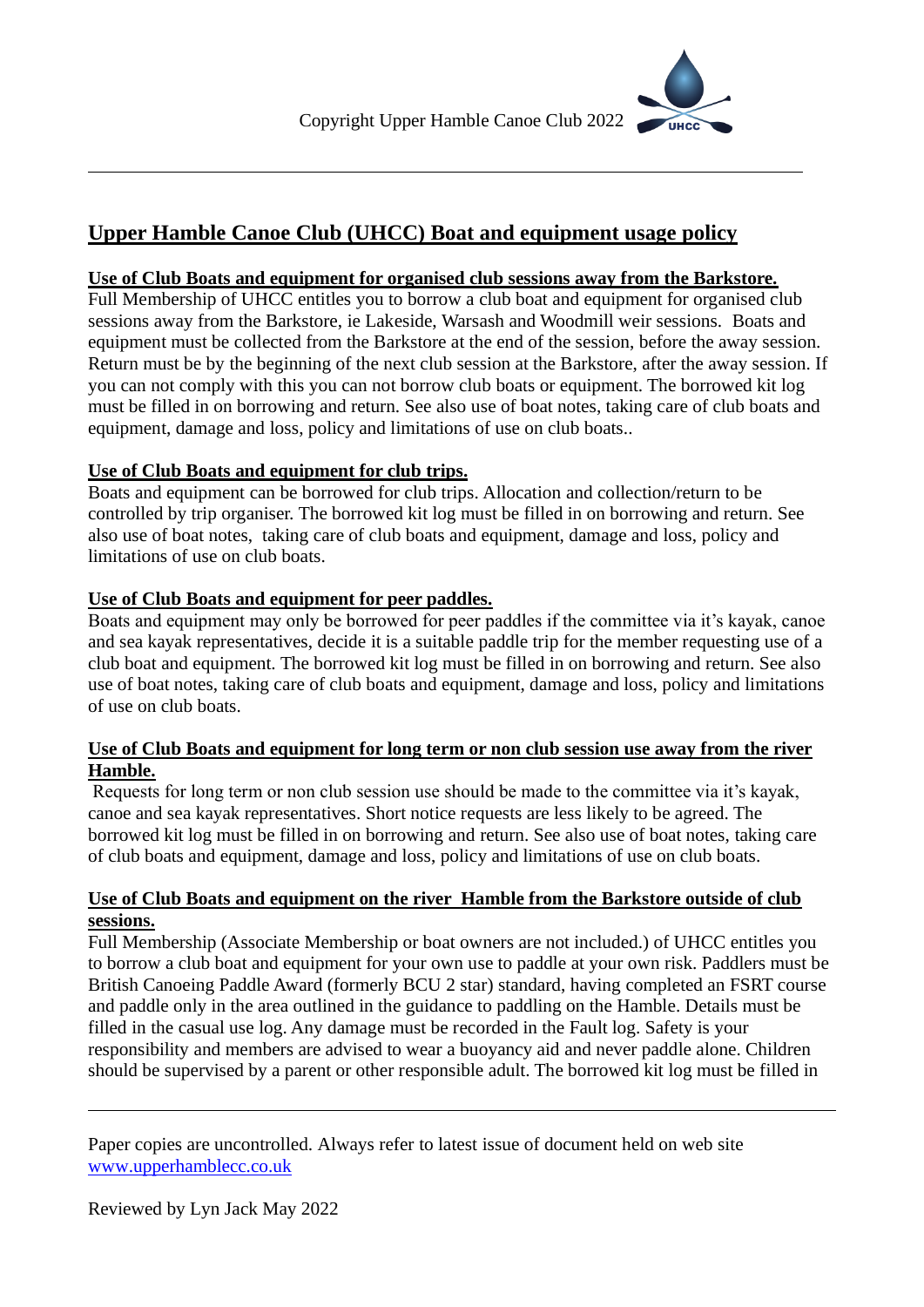

## **Use of Club Boats and equipment for organised club sessions away from the Barkstore.**

Full Membership of UHCC entitles you to borrow a club boat and equipment for organised club sessions away from the Barkstore, ie Lakeside, Warsash and Woodmill weir sessions. Boats and equipment must be collected from the Barkstore at the end of the session, before the away session. Return must be by the beginning of the next club session at the Barkstore, after the away session. If you can not comply with this you can not borrow club boats or equipment. The borrowed kit log must be filled in on borrowing and return. See also use of boat notes, taking care of club boats and equipment, damage and loss, policy and limitations of use on club boats..

## **Use of Club Boats and equipment for club trips.**

Boats and equipment can be borrowed for club trips. Allocation and collection/return to be controlled by trip organiser. The borrowed kit log must be filled in on borrowing and return. See also use of boat notes, taking care of club boats and equipment, damage and loss, policy and limitations of use on club boats.

## **Use of Club Boats and equipment for peer paddles.**

Boats and equipment may only be borrowed for peer paddles if the committee via it's kayak, canoe and sea kayak representatives, decide it is a suitable paddle trip for the member requesting use of a club boat and equipment. The borrowed kit log must be filled in on borrowing and return. See also use of boat notes, taking care of club boats and equipment, damage and loss, policy and limitations of use on club boats.

## **Use of Club Boats and equipment for long term or non club session use away from the river Hamble.**

Requests for long term or non club session use should be made to the committee via it's kayak, canoe and sea kayak representatives. Short notice requests are less likely to be agreed. The borrowed kit log must be filled in on borrowing and return. See also use of boat notes, taking care of club boats and equipment, damage and loss, policy and limitations of use on club boats.

## **Use of Club Boats and equipment on the river Hamble from the Barkstore outside of club sessions.**

Full Membership (Associate Membership or boat owners are not included.) of UHCC entitles you to borrow a club boat and equipment for your own use to paddle at your own risk. Paddlers must be British Canoeing Paddle Award (formerly BCU 2 star) standard, having completed an FSRT course and paddle only in the area outlined in the guidance to paddling on the Hamble. Details must be filled in the casual use log. Any damage must be recorded in the Fault log. Safety is your responsibility and members are advised to wear a buoyancy aid and never paddle alone. Children should be supervised by a parent or other responsible adult. The borrowed kit log must be filled in

Paper copies are uncontrolled. Always refer to latest issue of document held on web site [www.upperhamblecc.co.uk](http://www.upperhamblecc.co.uk/)

Reviewed by Lyn Jack May 2022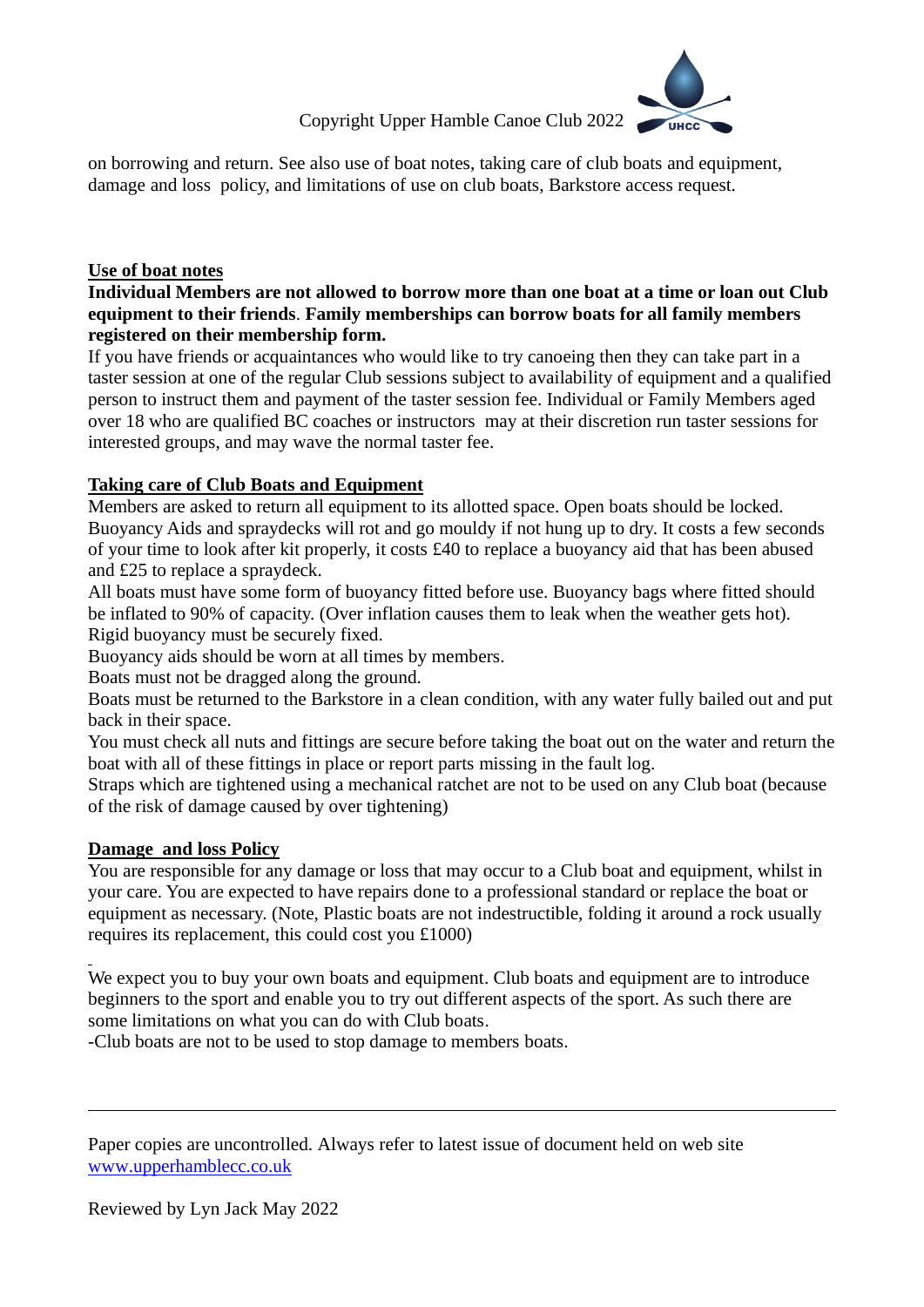# Copyright Upper Hamble Canoe Club 2022



on borrowing and return. See also use of boat notes, taking care of club boats and equipment, damage and loss policy, and limitations of use on club boats, Barkstore access request.

## **Use of boat notes**

## **Individual Members are not allowed to borrow more than one boat at a time or loan out Club equipment to their friends**. **Family memberships can borrow boats for all family members registered on their membership form.**

If you have friends or acquaintances who would like to try canoeing then they can take part in a taster session at one of the regular Club sessions subject to availability of equipment and a qualified person to instruct them and payment of the taster session fee. Individual or Family Members aged over 18 who are qualified BC coaches or instructors may at their discretion run taster sessions for interested groups, and may wave the normal taster fee.

# **Taking care of Club Boats and Equipment**

Members are asked to return all equipment to its allotted space. Open boats should be locked. Buoyancy Aids and spraydecks will rot and go mouldy if not hung up to dry. It costs a few seconds of your time to look after kit properly, it costs £40 to replace a buoyancy aid that has been abused and £25 to replace a spraydeck.

All boats must have some form of buoyancy fitted before use. Buoyancy bags where fitted should be inflated to 90% of capacity. (Over inflation causes them to leak when the weather gets hot). Rigid buoyancy must be securely fixed.

Buoyancy aids should be worn at all times by members.

Boats must not be dragged along the ground.

Boats must be returned to the Barkstore in a clean condition, with any water fully bailed out and put back in their space.

You must check all nuts and fittings are secure before taking the boat out on the water and return the boat with all of these fittings in place or report parts missing in the fault log.

Straps which are tightened using a mechanical ratchet are not to be used on any Club boat (because of the risk of damage caused by over tightening)

# **Damage and loss Policy**

You are responsible for any damage or loss that may occur to a Club boat and equipment, whilst in your care. You are expected to have repairs done to a professional standard or replace the boat or equipment as necessary. (Note, Plastic boats are not indestructible, folding it around a rock usually requires its replacement, this could cost you £1000)

We expect you to buy your own boats and equipment. Club boats and equipment are to introduce beginners to the sport and enable you to try out different aspects of the sport. As such there are some limitations on what you can do with Club boats.

-Club boats are not to be used to stop damage to members boats.

Paper copies are uncontrolled. Always refer to latest issue of document held on web site [www.upperhamblecc.co.uk](http://www.upperhamblecc.co.uk/)